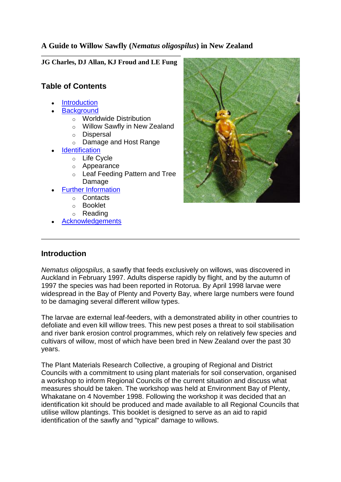## **A Guide to Willow Sawfly (***Nematus oligospilus***) in New Zealand**

**JG Charles, DJ Allan, KJ Froud and LE Fung**

## **Table of Contents**

- **[Introduction](http://www.hortnet.co.nz/publications/guides/willow_sawfly/wsawfly.htm#intro)**
- **[Background](http://www.hortnet.co.nz/publications/guides/willow_sawfly/wsawfly.htm#bkground)** 
	- o Worldwide Distribution
	- o Willow Sawfly in New Zealand
	- o Dispersal
	- o Damage and Host Range
- **[Identification](http://www.hortnet.co.nz/publications/guides/willow_sawfly/wsawfly.htm#id)** 
	- o Life Cycle
	- o Appearance
	- o Leaf Feeding Pattern and Tree Damage
- [Further Information](http://www.hortnet.co.nz/publications/guides/willow_sawfly/wsawfly.htm#info)
	- o Contacts
	- o Booklet
	- o Reading
- **[Acknowledgements](http://www.hortnet.co.nz/publications/guides/willow_sawfly/wsawfly.htm#acknw)**



# **Introduction**

*Nematus oligospilus*, a sawfly that feeds exclusively on willows, was discovered in Auckland in February 1997. Adults disperse rapidly by flight, and by the autumn of 1997 the species was had been reported in Rotorua. By April 1998 larvae were widespread in the Bay of Plenty and Poverty Bay, where large numbers were found to be damaging several different willow types.

The larvae are external leaf-feeders, with a demonstrated ability in other countries to defoliate and even kill willow trees. This new pest poses a threat to soil stabilisation and river bank erosion control programmes, which rely on relatively few species and cultivars of willow, most of which have been bred in New Zealand over the past 30 years.

The Plant Materials Research Collective, a grouping of Regional and District Councils with a commitment to using plant materials for soil conservation, organised a workshop to inform Regional Councils of the current situation and discuss what measures should be taken. The workshop was held at Environment Bay of Plenty, Whakatane on 4 November 1998. Following the workshop it was decided that an identification kit should be produced and made available to all Regional Councils that utilise willow plantings. This booklet is designed to serve as an aid to rapid identification of the sawfly and "typical" damage to willows.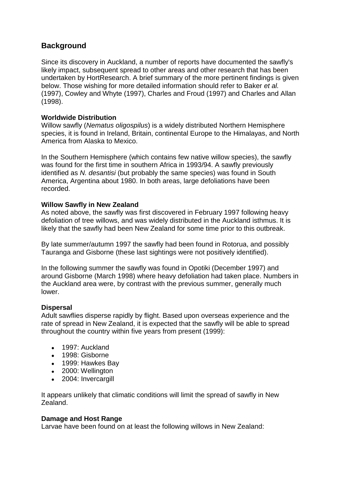## **Background**

Since its discovery in Auckland, a number of reports have documented the sawfly's likely impact, subsequent spread to other areas and other research that has been undertaken by HortResearch. A brief summary of the more pertinent findings is given below. Those wishing for more detailed information should refer to Baker *et al.* (1997), Cowley and Whyte (1997), Charles and Froud (1997) and Charles and Allan (1998).

### **Worldwide Distribution**

Willow sawfly (*Nematus oligospilus*) is a widely distributed Northern Hemisphere species, it is found in Ireland, Britain, continental Europe to the Himalayas, and North America from Alaska to Mexico.

In the Southern Hemisphere (which contains few native willow species), the sawfly was found for the first time in southern Africa in 1993/94. A sawfly previously identified as *N. desantisi* (but probably the same species) was found in South America, Argentina about 1980. In both areas, large defoliations have been recorded.

#### **Willow Sawfly in New Zealand**

As noted above, the sawfly was first discovered in February 1997 following heavy defoliation of tree willows, and was widely distributed in the Auckland isthmus. It is likely that the sawfly had been New Zealand for some time prior to this outbreak.

By late summer/autumn 1997 the sawfly had been found in Rotorua, and possibly Tauranga and Gisborne (these last sightings were not positively identified).

In the following summer the sawfly was found in Opotiki (December 1997) and around Gisborne (March 1998) where heavy defoliation had taken place. Numbers in the Auckland area were, by contrast with the previous summer, generally much lower.

### **Dispersal**

Adult sawflies disperse rapidly by flight. Based upon overseas experience and the rate of spread in New Zealand, it is expected that the sawfly will be able to spread throughout the country within five years from present (1999):

- 1997: Auckland
- 1998: Gisborne
- 1999: Hawkes Bay
- 2000: Wellington
- 2004: Invercargill

It appears unlikely that climatic conditions will limit the spread of sawfly in New Zealand.

### **Damage and Host Range**

Larvae have been found on at least the following willows in New Zealand: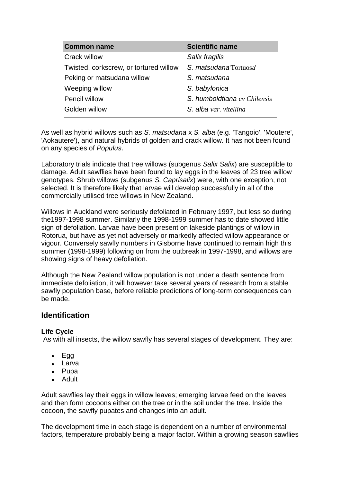| <b>Common name</b>                     | <b>Scientific name</b>       |
|----------------------------------------|------------------------------|
| Crack willow                           | Salix fragilis               |
| Twisted, corkscrew, or tortured willow | S. matsudana Tortuosa'       |
| Peking or matsudana willow             | S. matsudana                 |
| Weeping willow                         | S. babylonica                |
| Pencil willow                          | S. humboldtiana cv Chilensis |
| Golden willow                          | S. alba var. vitellina       |

As well as hybrid willows such as *S. matsudana* x *S. alba* (e.g. 'Tangoio', 'Moutere', 'Aokautere'), and natural hybrids of golden and crack willow. It has not been found on any species of *Populus*.

Laboratory trials indicate that tree willows (subgenus *Salix Salix*) are susceptible to damage. Adult sawflies have been found to lay eggs in the leaves of 23 tree willow genotypes. Shrub willows (subgenus *S. Caprisalix*) were, with one exception, not selected. It is therefore likely that larvae will develop successfully in all of the commercially utilised tree willows in New Zealand.

Willows in Auckland were seriously defoliated in February 1997, but less so during the1997-1998 summer. Similarly the 1998-1999 summer has to date showed little sign of defoliation. Larvae have been present on lakeside plantings of willow in Rotorua, but have as yet not adversely or markedly affected willow appearance or vigour. Conversely sawfly numbers in Gisborne have continued to remain high this summer (1998-1999) following on from the outbreak in 1997-1998, and willows are showing signs of heavy defoliation.

Although the New Zealand willow population is not under a death sentence from immediate defoliation, it will however take several years of research from a stable sawfly population base, before reliable predictions of long-term consequences can be made.

### **Identification**

#### **Life Cycle**

As with all insects, the willow sawfly has several stages of development. They are:

- $\bullet$  Egg
- Larva
- Pupa
- Adult

Adult sawflies lay their eggs in willow leaves; emerging larvae feed on the leaves and then form cocoons either on the tree or in the soil under the tree. Inside the cocoon, the sawfly pupates and changes into an adult.

The development time in each stage is dependent on a number of environmental factors, temperature probably being a major factor. Within a growing season sawflies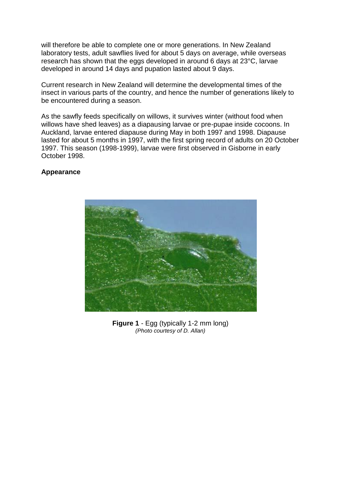will therefore be able to complete one or more generations. In New Zealand laboratory tests, adult sawflies lived for about 5 days on average, while overseas research has shown that the eggs developed in around 6 days at 23°C, larvae developed in around 14 days and pupation lasted about 9 days.

Current research in New Zealand will determine the developmental times of the insect in various parts of the country, and hence the number of generations likely to be encountered during a season.

As the sawfly feeds specifically on willows, it survives winter (without food when willows have shed leaves) as a diapausing larvae or pre-pupae inside cocoons. In Auckland, larvae entered diapause during May in both 1997 and 1998. Diapause lasted for about 5 months in 1997, with the first spring record of adults on 20 October 1997. This season (1998-1999), larvae were first observed in Gisborne in early October 1998.

#### **Appearance**



**Figure 1** - Egg (typically 1-2 mm long) *(Photo courtesy of D. Allan)*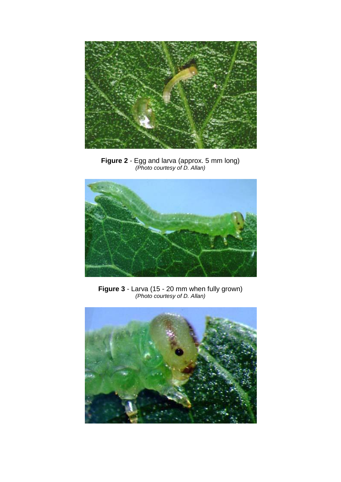

**Figure 2** - Egg and larva (approx. 5 mm long) *(Photo courtesy of D. Allan)*



**Figure 3** - Larva (15 - 20 mm when fully grown) *(Photo courtesy of D. Allan)*

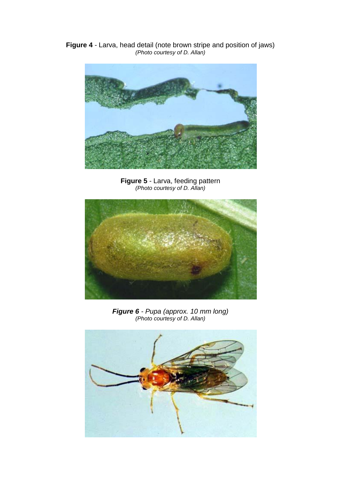**Figure 4** - Larva, head detail (note brown stripe and position of jaws) *(Photo courtesy of D. Allan)*



**Figure 5** - Larva, feeding pattern *(Photo courtesy of D. Allan)*



*Figure 6 - Pupa (approx. 10 mm long) (Photo courtesy of D. Allan)*

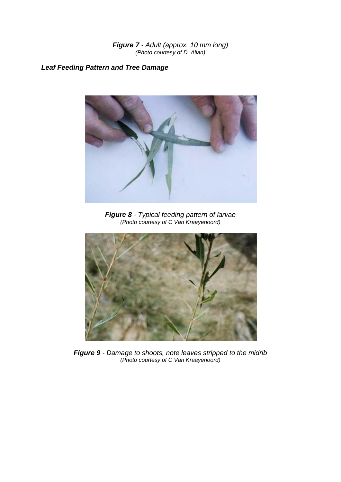*Figure 7 - Adult (approx. 10 mm long) (Photo courtesy of D. Allan)*

## *Leaf Feeding Pattern and Tree Damage*



*Figure 8 - Typical feeding pattern of larvae (Photo courtesy of C Van Kraayenoord)*



*Figure 9 - Damage to shoots, note leaves stripped to the midrib (Photo courtesy of C Van Kraayenoord)*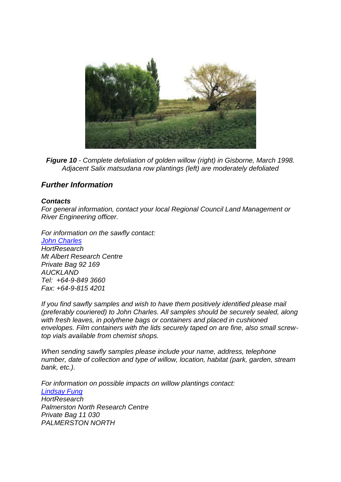

*Figure 10 - Complete defoliation of golden willow (right) in Gisborne, March 1998. Adjacent Salix matsudana row plantings (left) are moderately defoliated* 

## *Further Information*

#### *Contacts*

*For general information, contact your local Regional Council Land Management or River Engineering officer.* 

*For information on the sawfly contact: [John Charles](mailto:jcharles@hort.cri.nz) HortResearch Mt Albert Research Centre Private Bag 92 169 AUCKLAND Tel: +64-9-849 3660 Fax: +64-9-815 4201* 

*If you find sawfly samples and wish to have them positively identified please mail (preferably couriered) to John Charles. All samples should be securely sealed, along with fresh leaves, in polythene bags or containers and placed in cushioned envelopes. Film containers with the lids securely taped on are fine, also small screwtop vials available from chemist shops.* 

*When sending sawfly samples please include your name, address, telephone number, date of collection and type of willow, location, habitat (park, garden, stream bank, etc.).* 

*For information on possible impacts on willow plantings contact: [Lindsay Fung](mailto:lfung@hort.cri.nz) HortResearch Palmerston North Research Centre Private Bag 11 030 PALMERSTON NORTH*